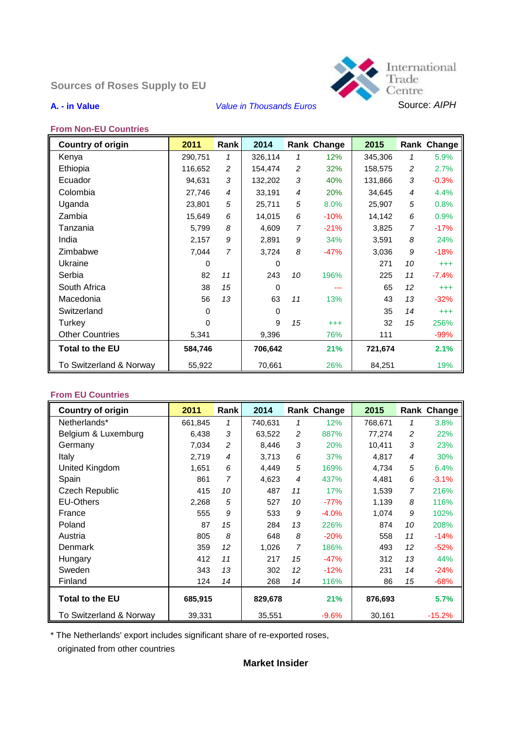# **Sources of Roses Supply to EU**



#### **From Non-EU Countries**

| <b>Country of origin</b> | 2011     | Rank           | 2014     |                | <b>Rank Change</b> | 2015    |                | Rank Change |
|--------------------------|----------|----------------|----------|----------------|--------------------|---------|----------------|-------------|
| Kenya                    | 290,751  | 1              | 326,114  | 1              | 12%                | 345,306 | 1              | 5.9%        |
| Ethiopia                 | 116,652  | $\overline{c}$ | 154,474  | $\overline{c}$ | 32%                | 158,575 | 2              | 2.7%        |
| Ecuador                  | 94,631   | $\sqrt{3}$     | 132,202  | $\mathfrak{Z}$ | 40%                | 131,866 | $\sqrt{3}$     | $-0.3%$     |
| Colombia                 | 27,746   | $\overline{4}$ | 33,191   | $\overline{4}$ | 20%                | 34,645  | $\overline{4}$ | 4.4%        |
| Uganda                   | 23,801   | 5              | 25,711   | 5              | 8.0%               | 25,907  | 5              | 0.8%        |
| Zambia                   | 15,649   | 6              | 14,015   | 6              | $-10%$             | 14,142  | 6              | 0.9%        |
| Tanzania                 | 5,799    | 8              | 4,609    | $\overline{7}$ | $-21%$             | 3,825   | 7              | $-17%$      |
| India                    | 2,157    | 9              | 2,891    | 9              | 34%                | 3,591   | 8              | 24%         |
| Zimbabwe                 | 7,044    | 7              | 3,724    | 8              | $-47%$             | 3,036   | 9              | $-18%$      |
| Ukraine                  | $\Omega$ |                | 0        |                |                    | 271     | 10             | $^{+++}$    |
| Serbia                   | 82       | 11             | 243      | 10             | 196%               | 225     | 11             | $-7.4%$     |
| South Africa             | 38       | 15             | $\Omega$ |                |                    | 65      | 12             | $^{+++}$    |
| Macedonia                | 56       | 13             | 63       | 11             | 13%                | 43      | 13             | $-32%$      |
| Switzerland              | 0        |                | 0        |                |                    | 35      | 14             | $+ + +$     |
| Turkey                   | 0        |                | 9        | 15             | $^{+++}$           | 32      | 15             | 256%        |
| <b>Other Countries</b>   | 5,341    |                | 9,396    |                | 76%                | 111     |                | $-99%$      |
| Total to the EU          | 584,746  |                | 706,642  |                | 21%                | 721,674 |                | 2.1%        |
| To Switzerland & Norway  | 55,922   |                | 70,661   |                | 26%                | 84,251  |                | 19%         |

#### **From EU Countries**

| <b>Country of origin</b> | 2011    | Rank           | 2014    |                | <b>Rank Change</b> | 2015    |                | Rank Change |
|--------------------------|---------|----------------|---------|----------------|--------------------|---------|----------------|-------------|
| Netherlands*             | 661,845 | 1              | 740,631 | 1              | 12%                | 768,671 | 1              | 3.8%        |
| Belgium & Luxemburg      | 6,438   | 3              | 63,522  | $\overline{c}$ | 887%               | 77,274  | 2              | 22%         |
| Germany                  | 7,034   | $\overline{c}$ | 8,446   | 3              | 20%                | 10,411  | 3              | 23%         |
| Italy                    | 2,719   | $\overline{4}$ | 3,713   | 6              | 37%                | 4,817   | 4              | 30%         |
| United Kingdom           | 1,651   | 6              | 4,449   | 5              | 169%               | 4,734   | 5              | 6.4%        |
| Spain                    | 861     | 7              | 4,623   | $\overline{4}$ | 437%               | 4,481   | 6              | $-3.1%$     |
| <b>Czech Republic</b>    | 415     | 10             | 487     | 11             | 17%                | 1,539   | $\overline{7}$ | 216%        |
| <b>EU-Others</b>         | 2,268   | 5              | 527     | 10             | $-77%$             | 1,139   | 8              | 116%        |
| France                   | 555     | 9              | 533     | 9              | $-4.0%$            | 1,074   | 9              | 102%        |
| Poland                   | 87      | 15             | 284     | 13             | 226%               | 874     | 10             | 208%        |
| Austria                  | 805     | 8              | 648     | 8              | $-20%$             | 558     | 11             | $-14%$      |
| Denmark                  | 359     | 12             | 1,026   | $\overline{7}$ | 186%               | 493     | 12             | $-52%$      |
| Hungary                  | 412     | 11             | 217     | 15             | $-47%$             | 312     | 13             | 44%         |
| Sweden                   | 343     | 13             | 302     | 12             | $-12%$             | 231     | 14             | $-24%$      |
| Finland                  | 124     | 14             | 268     | 14             | 116%               | 86      | 15             | $-68%$      |
| <b>Total to the EU</b>   | 685,915 |                | 829,678 |                | 21%                | 876,693 |                | 5.7%        |
| To Switzerland & Norway  | 39,331  |                | 35,551  |                | $-9.6%$            | 30,161  |                | $-15.2%$    |

\* The Netherlands' export includes significant share of re-exported roses, originated from other countries

### **Market Insider**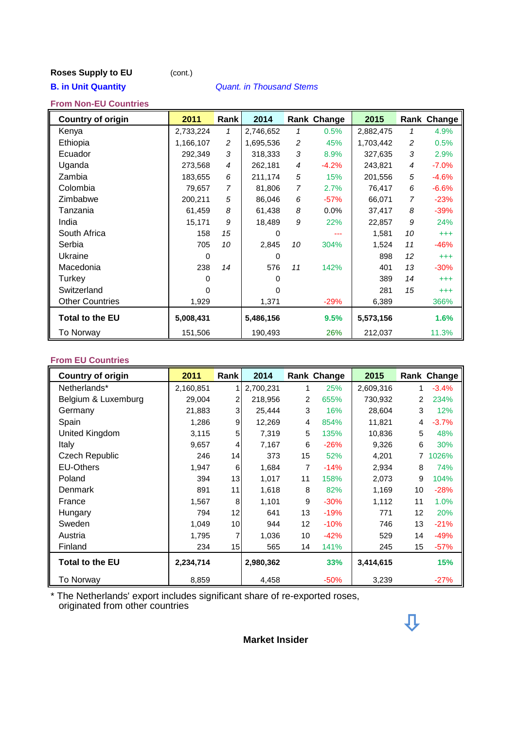## **Roses Supply to EU** (cont.)

#### **B. in Unit Quantity** *Quant. in Thousand Stems*

### **From Non-EU Countries**

| <b>Country of origin</b> | 2011      | Rank | 2014      |                | Rank Change | 2015      |                | <b>Rank Change</b> |
|--------------------------|-----------|------|-----------|----------------|-------------|-----------|----------------|--------------------|
| Kenya                    | 2,733,224 | 1    | 2,746,652 | 1              | 0.5%        | 2,882,475 | 1              | 4.9%               |
| Ethiopia                 | 1,166,107 | 2    | 1,695,536 | 2              | 45%         | 1,703,442 | $\overline{c}$ | 0.5%               |
| Ecuador                  | 292,349   | 3    | 318,333   | 3              | 8.9%        | 327,635   | 3              | 2.9%               |
| Uganda                   | 273,568   | 4    | 262,181   | 4              | $-4.2%$     | 243,821   | $\overline{4}$ | $-7.0%$            |
| Zambia                   | 183,655   | 6    | 211,174   | 5              | 15%         | 201,556   | 5              | $-4.6%$            |
| Colombia                 | 79,657    | 7    | 81,806    | $\overline{7}$ | 2.7%        | 76,417    | 6              | $-6.6%$            |
| Zimbabwe                 | 200,211   | 5    | 86,046    | 6              | $-57%$      | 66,071    | $\overline{7}$ | $-23%$             |
| Tanzania                 | 61,459    | 8    | 61,438    | 8              | 0.0%        | 37,417    | 8              | $-39%$             |
| India                    | 15,171    | 9    | 18,489    | 9              | 22%         | 22,857    | 9              | 24%                |
| South Africa             | 158       | 15   | 0         |                |             | 1,581     | 10             | $^{+++}$           |
| Serbia                   | 705       | 10   | 2,845     | 10             | 304%        | 1,524     | 11             | $-46%$             |
| Ukraine                  | 0         |      | 0         |                |             | 898       | 12             | $^{+++}$           |
| Macedonia                | 238       | 14   | 576       | 11             | 142%        | 401       | 13             | $-30%$             |
| Turkey                   | $\Omega$  |      | 0         |                |             | 389       | 14             | $^{+++}$           |
| Switzerland              | $\Omega$  |      |           |                |             | 281       | 15             | $^{+++}$           |
| <b>Other Countries</b>   | 1,929     |      | 1,371     |                | $-29%$      | 6,389     |                | 366%               |
| <b>Total to the EU</b>   | 5,008,431 |      | 5,486,156 |                | 9.5%        | 5,573,156 |                | 1.6%               |
| To Norway                | 151,506   |      | 190,493   |                | 26%         | 212,037   |                | 11.3%              |

#### **From EU Countries**

| <b>Country of origin</b> | 2011      | Rank            | 2014      |    | Rank Change | 2015      |    | Rank Change |
|--------------------------|-----------|-----------------|-----------|----|-------------|-----------|----|-------------|
| Netherlands*             | 2,160,851 |                 | 2,700,231 | 1  | 25%         | 2,609,316 | 1  | $-3.4%$     |
| Belgium & Luxemburg      | 29,004    | 2               | 218,956   | 2  | 655%        | 730,932   | 2  | 234%        |
| Germany                  | 21,883    | 3 <sup>1</sup>  | 25,444    | 3  | 16%         | 28,604    | 3  | 12%         |
| Spain                    | 1,286     | 9               | 12,269    | 4  | 854%        | 11,821    | 4  | $-3.7%$     |
| United Kingdom           | 3,115     | 5 <sup>5</sup>  | 7,319     | 5  | 135%        | 10,836    | 5  | 48%         |
| Italy                    | 9,657     | $\overline{4}$  | 7,167     | 6  | $-26%$      | 9,326     | 6  | 30%         |
| <b>Czech Republic</b>    | 246       | 14              | 373       | 15 | 52%         | 4,201     | 7  | 1026%       |
| <b>EU-Others</b>         | 1,947     | 6               | 1,684     | 7  | $-14%$      | 2,934     | 8  | 74%         |
| Poland                   | 394       | 13              | 1,017     | 11 | 158%        | 2,073     | 9  | 104%        |
| Denmark                  | 891       | 11              | 1,618     | 8  | 82%         | 1,169     | 10 | $-28%$      |
| France                   | 1,567     | 8               | 1,101     | 9  | $-30%$      | 1,112     | 11 | 1.0%        |
| Hungary                  | 794       | 12              | 641       | 13 | $-19%$      | 771       | 12 | 20%         |
| Sweden                   | 1,049     | 10 <sub>1</sub> | 944       | 12 | $-10%$      | 746       | 13 | $-21%$      |
| Austria                  | 1,795     | 7               | 1,036     | 10 | $-42%$      | 529       | 14 | $-49%$      |
| Finland                  | 234       | 15              | 565       | 14 | 141%        | 245       | 15 | $-57%$      |
| <b>Total to the EU</b>   | 2,234,714 |                 | 2,980,362 |    | 33%         | 3,414,615 |    | 15%         |
| To Norway                | 8,859     |                 | 4,458     |    | $-50%$      | 3,239     |    | $-27%$      |

\* The Netherlands' export includes significant share of re-exported roses, originated from other countries



**Market Insider**